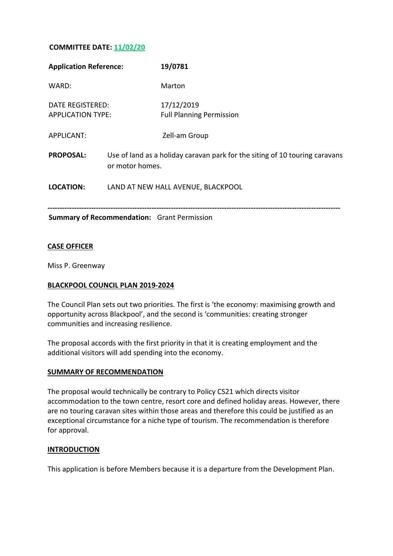# **COMMITTEE DATE: 11/02/20**

| <b>Application Reference:</b>                      |                                                                                                | 19/0781                                       |
|----------------------------------------------------|------------------------------------------------------------------------------------------------|-----------------------------------------------|
| WARD:                                              |                                                                                                | Marton                                        |
| DATE REGISTERED:<br><b>APPLICATION TYPE:</b>       |                                                                                                | 17/12/2019<br><b>Full Planning Permission</b> |
| APPLICANT:                                         |                                                                                                | Zell-am Group                                 |
| <b>PROPOSAL:</b>                                   | Use of land as a holiday caravan park for the siting of 10 touring caravans<br>or motor homes. |                                               |
| <b>LOCATION:</b>                                   | LAND AT NEW HALL AVENUE, BLACKPOOL                                                             |                                               |
| <b>Summary of Recommendation:</b> Grant Permission |                                                                                                |                                               |

### **CASE OFFICER**

Miss P. Greenway

### **BLACKPOOL COUNCIL PLAN 2019-2024**

The Council Plan sets out two priorities. The first is 'the economy: maximising growth and opportunity across Blackpool', and the second is 'communities: creating stronger communities and increasing resilience.

The proposal accords with the first priority in that it is creating employment and the additional visitors will add spending into the economy.

#### **SUMMARY OF RECOMMENDATION**

The proposal would technically be contrary to Policy CS21 which directs visitor accommodation to the town centre, resort core and defined holiday areas. However, there are no touring caravan sites within those areas and therefore this could be justified as an exceptional circumstance for a niche type of tourism. The recommendation is therefore for approval.

### **INTRODUCTION**

This application is before Members because it is a departure from the Development Plan.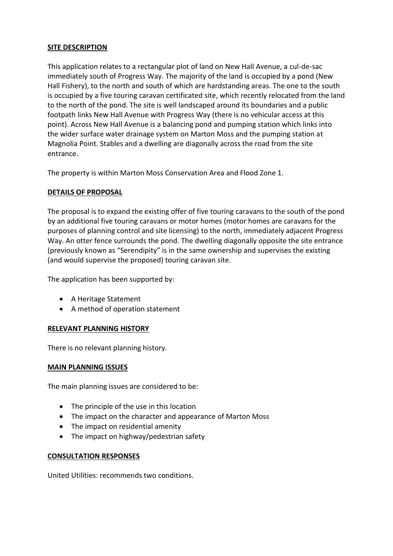## **SITE DESCRIPTION**

This application relates to a rectangular plot of land on New Hall Avenue, a cul-de-sac immediately south of Progress Way. The majority of the land is occupied by a pond (New Hall Fishery), to the north and south of which are hardstanding areas. The one to the south is occupied by a five touring caravan certificated site, which recently relocated from the land to the north of the pond. The site is well landscaped around its boundaries and a public footpath links New Hall Avenue with Progress Way (there is no vehicular access at this point). Across New Hall Avenue is a balancing pond and pumping station which links into the wider surface water drainage system on Marton Moss and the pumping station at Magnolia Point. Stables and a dwelling are diagonally across the road from the site entrance.

The property is within Marton Moss Conservation Area and Flood Zone 1.

## **DETAILS OF PROPOSAL**

The proposal is to expand the existing offer of five touring caravans to the south of the pond by an additional five touring caravans or motor homes (motor homes are caravans for the purposes of planning control and site licensing) to the north, immediately adjacent Progress Way. An otter fence surrounds the pond. The dwelling diagonally opposite the site entrance (previously known as "Serendipity" is in the same ownership and supervises the existing (and would supervise the proposed) touring caravan site.

The application has been supported by:

- A Heritage Statement
- A method of operation statement

### **RELEVANT PLANNING HISTORY**

There is no relevant planning history.

### **MAIN PLANNING ISSUES**

The main planning issues are considered to be:

- The principle of the use in this location
- The impact on the character and appearance of Marton Moss
- The impact on residential amenity
- The impact on highway/pedestrian safety

### **CONSULTATION RESPONSES**

United Utilities: recommends two conditions.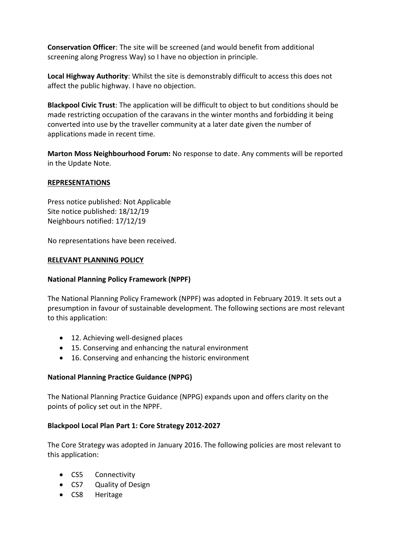**Conservation Officer**: The site will be screened (and would benefit from additional screening along Progress Way) so I have no objection in principle.

**Local Highway Authority**: Whilst the site is demonstrably difficult to access this does not affect the public highway. I have no objection.

**Blackpool Civic Trust**: The application will be difficult to object to but conditions should be made restricting occupation of the caravans in the winter months and forbidding it being converted into use by the traveller community at a later date given the number of applications made in recent time.

**Marton Moss Neighbourhood Forum:** No response to date. Any comments will be reported in the Update Note.

### **REPRESENTATIONS**

Press notice published: Not Applicable Site notice published: 18/12/19 Neighbours notified: 17/12/19

No representations have been received.

## **RELEVANT PLANNING POLICY**

### **National Planning Policy Framework (NPPF)**

The National Planning Policy Framework (NPPF) was adopted in February 2019. It sets out a presumption in favour of sustainable development. The following sections are most relevant to this application:

- 12. Achieving well-designed places
- 15. Conserving and enhancing the natural environment
- 16. Conserving and enhancing the historic environment

### **National Planning Practice Guidance (NPPG)**

The National Planning Practice Guidance (NPPG) expands upon and offers clarity on the points of policy set out in the NPPF.

### **Blackpool Local Plan Part 1: Core Strategy 2012-2027**

The Core Strategy was adopted in January 2016. The following policies are most relevant to this application:

- CS5 Connectivity
- CS7 Quality of Design
- CS8 Heritage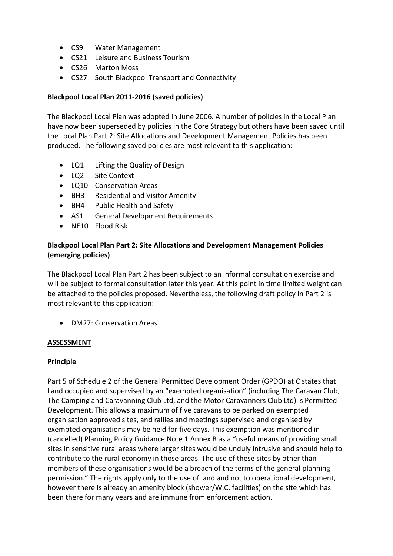- CS9 Water Management
- CS21 Leisure and Business Tourism
- CS26 Marton Moss
- CS27 South Blackpool Transport and Connectivity

## **Blackpool Local Plan 2011-2016 (saved policies)**

The Blackpool Local Plan was adopted in June 2006. A number of policies in the Local Plan have now been superseded by policies in the Core Strategy but others have been saved until the Local Plan Part 2: Site Allocations and Development Management Policies has been produced. The following saved policies are most relevant to this application:

- LQ1 Lifting the Quality of Design
- LQ2 Site Context
- LQ10 Conservation Areas
- BH3 Residential and Visitor Amenity
- BH4 Public Health and Safety
- AS1 General Development Requirements
- NE10 Flood Risk

# **Blackpool Local Plan Part 2: Site Allocations and Development Management Policies (emerging policies)**

The Blackpool Local Plan Part 2 has been subject to an informal consultation exercise and will be subject to formal consultation later this year. At this point in time limited weight can be attached to the policies proposed. Nevertheless, the following draft policy in Part 2 is most relevant to this application:

• DM27: Conservation Areas

### **ASSESSMENT**

### **Principle**

Part 5 of Schedule 2 of the General Permitted Development Order (GPDO) at C states that Land occupied and supervised by an "exempted organisation" (including The Caravan Club, The Camping and Caravanning Club Ltd, and the Motor Caravanners Club Ltd) is Permitted Development. This allows a maximum of five caravans to be parked on exempted organisation approved sites, and rallies and meetings supervised and organised by exempted organisations may be held for five days. This exemption was mentioned in (cancelled) Planning Policy Guidance Note 1 Annex B as a "useful means of providing small sites in sensitive rural areas where larger sites would be unduly intrusive and should help to contribute to the rural economy in those areas. The use of these sites by other than members of these organisations would be a breach of the terms of the general planning permission." The rights apply only to the use of land and not to operational development, however there is already an amenity block (shower/W.C. facilities) on the site which has been there for many years and are immune from enforcement action.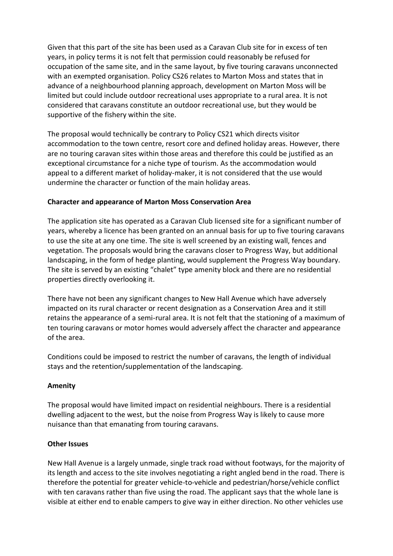Given that this part of the site has been used as a Caravan Club site for in excess of ten years, in policy terms it is not felt that permission could reasonably be refused for occupation of the same site, and in the same layout, by five touring caravans unconnected with an exempted organisation. Policy CS26 relates to Marton Moss and states that in advance of a neighbourhood planning approach, development on Marton Moss will be limited but could include outdoor recreational uses appropriate to a rural area. It is not considered that caravans constitute an outdoor recreational use, but they would be supportive of the fishery within the site.

The proposal would technically be contrary to Policy CS21 which directs visitor accommodation to the town centre, resort core and defined holiday areas. However, there are no touring caravan sites within those areas and therefore this could be justified as an exceptional circumstance for a niche type of tourism. As the accommodation would appeal to a different market of holiday-maker, it is not considered that the use would undermine the character or function of the main holiday areas.

## **Character and appearance of Marton Moss Conservation Area**

The application site has operated as a Caravan Club licensed site for a significant number of years, whereby a licence has been granted on an annual basis for up to five touring caravans to use the site at any one time. The site is well screened by an existing wall, fences and vegetation. The proposals would bring the caravans closer to Progress Way, but additional landscaping, in the form of hedge planting, would supplement the Progress Way boundary. The site is served by an existing "chalet" type amenity block and there are no residential properties directly overlooking it.

There have not been any significant changes to New Hall Avenue which have adversely impacted on its rural character or recent designation as a Conservation Area and it still retains the appearance of a semi-rural area. It is not felt that the stationing of a maximum of ten touring caravans or motor homes would adversely affect the character and appearance of the area.

Conditions could be imposed to restrict the number of caravans, the length of individual stays and the retention/supplementation of the landscaping.

## **Amenity**

The proposal would have limited impact on residential neighbours. There is a residential dwelling adjacent to the west, but the noise from Progress Way is likely to cause more nuisance than that emanating from touring caravans.

## **Other Issues**

New Hall Avenue is a largely unmade, single track road without footways, for the majority of its length and access to the site involves negotiating a right angled bend in the road. There is therefore the potential for greater vehicle-to-vehicle and pedestrian/horse/vehicle conflict with ten caravans rather than five using the road. The applicant says that the whole lane is visible at either end to enable campers to give way in either direction. No other vehicles use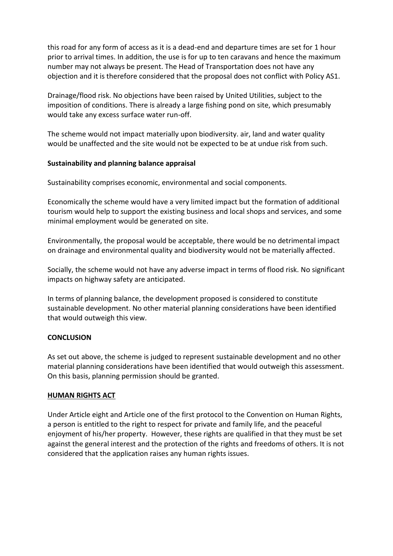this road for any form of access as it is a dead-end and departure times are set for 1 hour prior to arrival times. In addition, the use is for up to ten caravans and hence the maximum number may not always be present. The Head of Transportation does not have any objection and it is therefore considered that the proposal does not conflict with Policy AS1.

Drainage/flood risk. No objections have been raised by United Utilities, subject to the imposition of conditions. There is already a large fishing pond on site, which presumably would take any excess surface water run-off.

The scheme would not impact materially upon biodiversity. air, land and water quality would be unaffected and the site would not be expected to be at undue risk from such.

## **Sustainability and planning balance appraisal**

Sustainability comprises economic, environmental and social components.

Economically the scheme would have a very limited impact but the formation of additional tourism would help to support the existing business and local shops and services, and some minimal employment would be generated on site.

Environmentally, the proposal would be acceptable, there would be no detrimental impact on drainage and environmental quality and biodiversity would not be materially affected.

Socially, the scheme would not have any adverse impact in terms of flood risk. No significant impacts on highway safety are anticipated.

In terms of planning balance, the development proposed is considered to constitute sustainable development. No other material planning considerations have been identified that would outweigh this view.

### **CONCLUSION**

As set out above, the scheme is judged to represent sustainable development and no other material planning considerations have been identified that would outweigh this assessment. On this basis, planning permission should be granted.

### **HUMAN RIGHTS ACT**

Under Article eight and Article one of the first protocol to the Convention on Human Rights, a person is entitled to the right to respect for private and family life, and the peaceful enjoyment of his/her property. However, these rights are qualified in that they must be set against the general interest and the protection of the rights and freedoms of others. It is not considered that the application raises any human rights issues.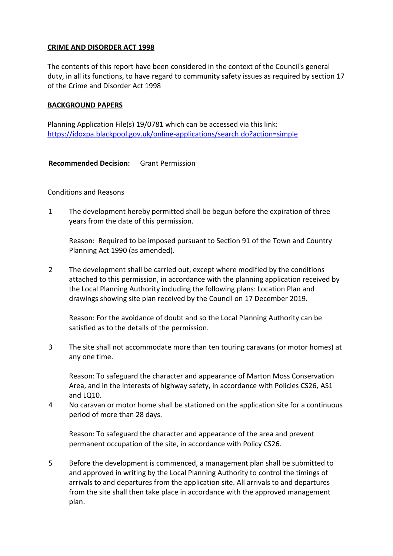## **CRIME AND DISORDER ACT 1998**

The contents of this report have been considered in the context of the Council's general duty, in all its functions, to have regard to community safety issues as required by section 17 of the Crime and Disorder Act 1998

### **BACKGROUND PAPERS**

Planning Application File(s) 19/0781 which can be accessed via this link: <https://idoxpa.blackpool.gov.uk/online-applications/search.do?action=simple>

**Recommended Decision:** Grant Permission

Conditions and Reasons

1 The development hereby permitted shall be begun before the expiration of three years from the date of this permission.

Reason: Required to be imposed pursuant to Section 91 of the Town and Country Planning Act 1990 (as amended).

2 The development shall be carried out, except where modified by the conditions attached to this permission, in accordance with the planning application received by the Local Planning Authority including the following plans: Location Plan and drawings showing site plan received by the Council on 17 December 2019.

Reason: For the avoidance of doubt and so the Local Planning Authority can be satisfied as to the details of the permission.

3 The site shall not accommodate more than ten touring caravans (or motor homes) at any one time.

Reason: To safeguard the character and appearance of Marton Moss Conservation Area, and in the interests of highway safety, in accordance with Policies CS26, AS1 and LQ10.

4 No caravan or motor home shall be stationed on the application site for a continuous period of more than 28 days.

Reason: To safeguard the character and appearance of the area and prevent permanent occupation of the site, in accordance with Policy CS26.

5 Before the development is commenced, a management plan shall be submitted to and approved in writing by the Local Planning Authority to control the timings of arrivals to and departures from the application site. All arrivals to and departures from the site shall then take place in accordance with the approved management plan.